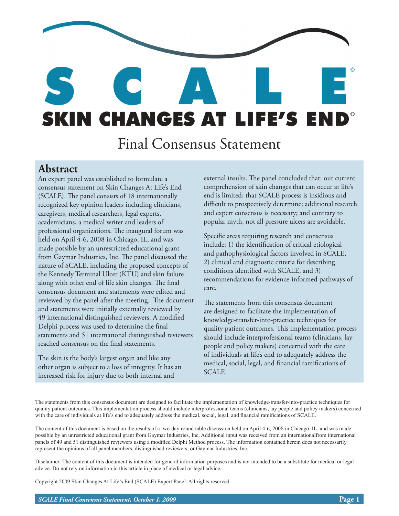

Final Consensus Statement

## **Abstract**

An expert panel was established to formulate a consensus statement on Skin Changes At Life's End (SCALE). The panel consists of 18 internationally recognized key opinion leaders including clinicians, caregivers, medical researchers, legal experts, academicians, a medical writer and leaders of professional organizations. The inaugural forum was held on April 4-6, 2008 in Chicago, IL, and was made possible by an unrestricted educational grant from Gaymar Industries, Inc. The panel discussed the nature of SCALE, including the proposed concepts of the Kennedy Terminal Ulcer (KTU) and skin failure along with other end of life skin changes. The final consensus document and statements were edited and reviewed by the panel after the meeting. The document and statements were initially externally reviewed by 49 international distinguished reviewers. A modified Delphi process was used to determine the final statements and 51 international distinguished reviewers reached consensus on the final statements.

The skin is the body's largest organ and like any other organ is subject to a loss of integrity. It has an increased risk for injury due to both internal and

external insults. The panel concluded that: our current comprehension of skin changes that can occur at life's end is limited; that SCALE process is insidious and difficult to prospectively determine; additional research and expert consensus is necessary; and contrary to popular myth, not all pressure ulcers are avoidable.

Specific areas requiring research and consensus include: 1) the identification of critical etiological and pathophysiological factors involved in SCALE, 2) clinical and diagnostic criteria for describing conditions identified with SCALE, and 3) recommendations for evidence-informed pathways of care.

The statements from this consensus document are designed to facilitate the implementation of knowledge-transfer-into-practice techniques for quality patient outcomes. This implementation process should include interprofessional teams (clinicians, lay people and policy makers) concerned with the care of individuals at life's end to adequately address the medical, social, legal, and financial ramifications of SCALE.

The statements from this consensus document are designed to facilitate the implementation of knowledge-transfer-into-practice techniques for quality patient outcomes. This implementation process should include interprofessional teams (clinicians, lay people and policy makers) concerned with the care of individuals at life's end to adequately address the medical, social, legal, and financial ramifications of SCALE.

The content of this document is based on the results of a two-day round table discussion held on April 4-6, 2008 in Chicago, IL, and was made possible by an unrestricted educational grant from Gaymar Industries, Inc. Additional input was received from an internationalfrom international panels of 49 and 51 distinguished reviewers using a modified Delphi Method process. The information contained herein does not necessarily represent the opinions of all panel members, distinguished reviewers, or Gaymar Industries, Inc.

Disclaimer: The content of this document is intended for general information purposes and is not intended to be a substitute for medical or legal advice. Do not rely on information in this article in place of medical or legal advice.

Copyright 2009 Skin Changes At Life's End (SCALE) Expert Panel. All rights reserved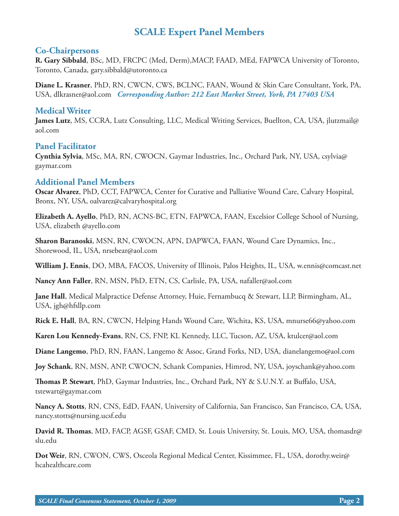## **SCALE Expert Panel Members**

### **Co-Chairpersons**

**R. Gary Sibbald**, BSc, MD, FRCPC (Med, Derm),MACP, FAAD, MEd, FAPWCA University of Toronto, Toronto, Canada, gary.sibbald@utoronto.ca

**Diane L. Krasner**, PhD, RN, CWCN, CWS, BCLNC, FAAN, Wound & Skin Care Consultant, York, PA, USA, dlkrasner@aol.com *Corresponding Author: 212 East Market Street, York, PA 17403 USA*

## **Medical Writer**

**James Lutz**, MS, CCRA, Lutz Consulting, LLC, Medical Writing Services, Buellton, CA, USA, jlutzmail@ aol.com

## **Panel Facilitator**

**Cynthia Sylvia**, MSc, MA, RN, CWOCN, Gaymar Industries, Inc., Orchard Park, NY, USA, csylvia@ gaymar.com

### **Additional Panel Members**

**Oscar Alvarez**, PhD, CCT, FAPWCA, Center for Curative and Palliative Wound Care, Calvary Hospital, Bronx, NY, USA, oalvarez@calvaryhospital.org

**Elizabeth A. Ayello**, PhD, RN, ACNS-BC, ETN, FAPWCA, FAAN, Excelsior College School of Nursing, USA, elizabeth @ayello.com

**Sharon Baranoski**, MSN, RN, CWOCN, APN, DAPWCA, FAAN, Wound Care Dynamics, Inc., Shorewood, IL, USA, nrsebear@aol.com

**William J. Ennis**, DO, MBA, FACOS, University of Illinois, Palos Heights, IL, USA, w.ennis@comcast.net

**Nancy Ann Faller**, RN, MSN, PhD, ETN, CS, Carlisle, PA, USA, nafaller@aol.com

**Jane Hall**, Medical Malpractice Defense Attorney, Huie, Fernambucq & Stewart, LLP, Birmingham, AL, USA, jgh@hfsllp.com

**Rick E. Hall**, BA, RN, CWCN, Helping Hands Wound Care, Wichita, KS, USA, mnurse66@yahoo.com

**Karen Lou Kennedy-Evans**, RN, CS, FNP, KL Kennedy, LLC, Tucson, AZ, USA, ktulcer@aol.com

**Diane Langemo**, PhD, RN, FAAN, Langemo & Assoc, Grand Forks, ND, USA, dianelangemo@aol.com

**Joy Schank**, RN, MSN, ANP, CWOCN, Schank Companies, Himrod, NY, USA, joyschank@yahoo.com

**Thomas P. Stewart**, PhD, Gaymar Industries, Inc., Orchard Park, NY & S.U.N.Y. at Buffalo, USA, tstewart@gaymar.com

**Nancy A. Stotts**, RN, CNS, EdD, FAAN, University of California, San Francisco, San Francisco, CA, USA, nancy.stotts@nursing.ucsf.edu

**David R. Thomas**, MD, FACP, AGSF, GSAF, CMD, St. Louis University, St. Louis, MO, USA, thomasdr@ slu.edu

**Dot Weir**, RN, CWON, CWS, Osceola Regional Medical Center, Kissimmee, FL, USA, dorothy.weir@ hcahealthcare.com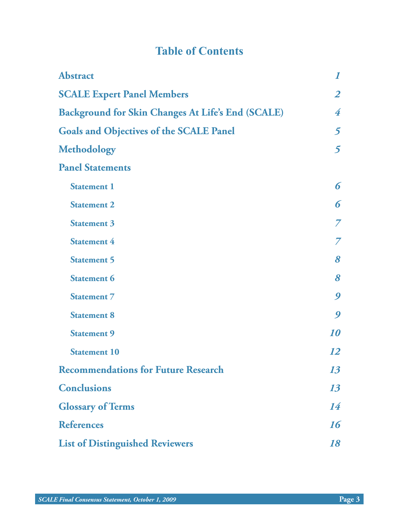# **Table of Contents**

| <b>Abstract</b>                                                                                            | $\bm{I}$         |
|------------------------------------------------------------------------------------------------------------|------------------|
| <b>SCALE Expert Panel Members</b>                                                                          | $\overline{2}$   |
| <b>Background for Skin Changes At Life's End (SCALE)</b><br><b>Goals and Objectives of the SCALE Panel</b> |                  |
|                                                                                                            |                  |
| <b>Panel Statements</b>                                                                                    |                  |
| <b>Statement 1</b>                                                                                         | 6                |
| <b>Statement 2</b>                                                                                         | 6                |
| <b>Statement 3</b>                                                                                         | 7                |
| <b>Statement 4</b>                                                                                         | $\mathcal{Z}$    |
| <b>Statement 5</b>                                                                                         | 8                |
| <b>Statement 6</b>                                                                                         | 8                |
| <b>Statement 7</b>                                                                                         | $\boldsymbol{9}$ |
| <b>Statement 8</b>                                                                                         | 9                |
| <b>Statement 9</b>                                                                                         | 10               |
| <b>Statement 10</b>                                                                                        | 12               |
| <b>Recommendations for Future Research</b>                                                                 | 13               |
| <b>Conclusions</b>                                                                                         | 13               |
| <b>Glossary of Terms</b>                                                                                   | 14               |
| <b>References</b>                                                                                          | 16               |
| <b>List of Distinguished Reviewers</b>                                                                     | 18               |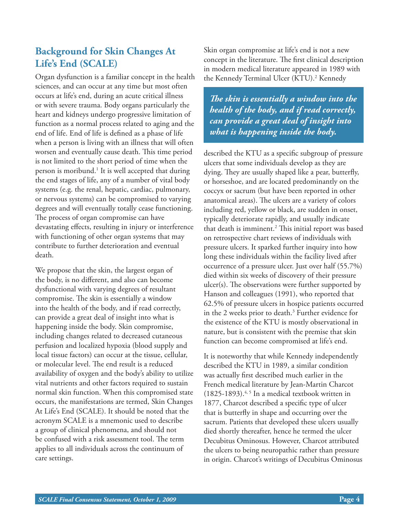# **Background for Skin Changes At Life's End (SCALE)**

Organ dysfunction is a familiar concept in the health sciences, and can occur at any time but most often occurs at life's end, during an acute critical illness or with severe trauma. Body organs particularly the heart and kidneys undergo progressive limitation of function as a normal process related to aging and the end of life. End of life is defined as a phase of life when a person is living with an illness that will often worsen and eventually cause death. This time period is not limited to the short period of time when the person is moribund.<sup>1</sup> It is well accepted that during the end stages of life, any of a number of vital body systems (e.g. the renal, hepatic, cardiac, pulmonary, or nervous systems) can be compromised to varying degrees and will eventually totally cease functioning. The process of organ compromise can have devastating effects, resulting in injury or interference with functioning of other organ systems that may contribute to further deterioration and eventual death.

We propose that the skin, the largest organ of the body, is no different, and also can become dysfunctional with varying degrees of resultant compromise. The skin is essentially a window into the health of the body, and if read correctly, can provide a great deal of insight into what is happening inside the body. Skin compromise, including changes related to decreased cutaneous perfusion and localized hypoxia (blood supply and local tissue factors) can occur at the tissue, cellular, or molecular level. The end result is a reduced availability of oxygen and the body's ability to utilize vital nutrients and other factors required to sustain normal skin function. When this compromised state occurs, the manifestations are termed, Skin Changes At Life's End (SCALE). It should be noted that the acronym SCALE is a mnemonic used to describe a group of clinical phenomena, and should not be confused with a risk assessment tool. The term applies to all individuals across the continuum of care settings.

Skin organ compromise at life's end is not a new concept in the literature. The first clinical description in modern medical literature appeared in 1989 with the Kennedy Terminal Ulcer (KTU).<sup>2</sup> Kennedy

*The skin is essentially a window into the health of the body, and if read correctly, can provide a great deal of insight into what is happening inside the body.* 

described the KTU as a specific subgroup of pressure ulcers that some individuals develop as they are dying. They are usually shaped like a pear, butterfly, or horseshoe, and are located predominantly on the coccyx or sacrum (but have been reported in other anatomical areas). The ulcers are a variety of colors including red, yellow or black, are sudden in onset, typically deteriorate rapidly, and usually indicate that death is imminent.<sup>2</sup> This initial report was based on retrospective chart reviews of individuals with pressure ulcers. It sparked further inquiry into how long these individuals within the facility lived after occurrence of a pressure ulcer. Just over half (55.7%) died within six weeks of discovery of their pressure ulcer(s). The observations were further supported by Hanson and colleagues (1991), who reported that 62.5% of pressure ulcers in hospice patients occurred in the 2 weeks prior to death.3 Further evidence for the existence of the KTU is mostly observational in nature, but is consistent with the premise that skin function can become compromised at life's end.

It is noteworthy that while Kennedy independently described the KTU in 1989, a similar condition was actually first described much earlier in the French medical literature by Jean-Martin Charcot  $(1825-1893).$ <sup>4, 5</sup> In a medical textbook written in 1877, Charcot described a specific type of ulcer that is butterfly in shape and occurring over the sacrum. Patients that developed these ulcers usually died shortly thereafter, hence he termed the ulcer Decubitus Ominosus. However, Charcot attributed the ulcers to being neuropathic rather than pressure in origin. Charcot's writings of Decubitus Ominosus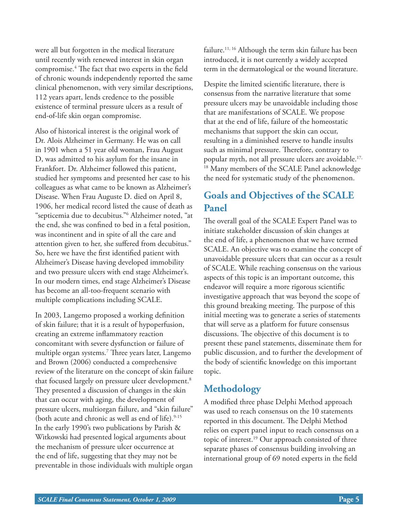were all but forgotten in the medical literature until recently with renewed interest in skin organ compromise.4 The fact that two experts in the field of chronic wounds independently reported the same clinical phenomenon, with very similar descriptions, 112 years apart, lends credence to the possible existence of terminal pressure ulcers as a result of end-of-life skin organ compromise.

Also of historical interest is the original work of Dr. Alois Alzheimer in Germany. He was on call in 1901 when a 51 year old woman, Frau August D, was admitted to his asylum for the insane in Frankfort. Dr. Alzheimer followed this patient, studied her symptoms and presented her case to his colleagues as what came to be known as Alzheimer's Disease. When Frau Auguste D. died on April 8, 1906, her medical record listed the cause of death as "septicemia due to decubitus."6 Alzheimer noted, "at the end, she was confined to bed in a fetal position, was incontinent and in spite of all the care and attention given to her, she suffered from decubitus." So, here we have the first identified patient with Alzheimer's Disease having developed immobility and two pressure ulcers with end stage Alzheimer's. In our modern times, end stage Alzheimer's Disease has become an all-too-frequent scenario with multiple complications including SCALE.

In 2003, Langemo proposed a working definition of skin failure; that it is a result of hypoperfusion, creating an extreme inflammatory reaction concomitant with severe dysfunction or failure of multiple organ systems.7 Three years later, Langemo and Brown (2006) conducted a comprehensive review of the literature on the concept of skin failure that focused largely on pressure ulcer development.<sup>8</sup> They presented a discussion of changes in the skin that can occur with aging, the development of pressure ulcers, multiorgan failure, and "skin failure" (both acute and chronic as well as end of life). $9-15$ In the early 1990's two publications by Parish & Witkowski had presented logical arguments about the mechanism of pressure ulcer occurrence at the end of life, suggesting that they may not be preventable in those individuals with multiple organ

failure.<sup>11, 16</sup> Although the term skin failure has been introduced, it is not currently a widely accepted term in the dermatological or the wound literature.

Despite the limited scientific literature, there is consensus from the narrative literature that some pressure ulcers may be unavoidable including those that are manifestations of SCALE. We propose that at the end of life, failure of the homeostatic mechanisms that support the skin can occur, resulting in a diminished reserve to handle insults such as minimal pressure. Therefore, contrary to popular myth, not all pressure ulcers are avoidable.<sup>17,</sup> <sup>18</sup> Many members of the SCALE Panel acknowledge the need for systematic study of the phenomenon.

## **Goals and Objectives of the SCALE Panel**

The overall goal of the SCALE Expert Panel was to initiate stakeholder discussion of skin changes at the end of life, a phenomenon that we have termed SCALE. An objective was to examine the concept of unavoidable pressure ulcers that can occur as a result of SCALE. While reaching consensus on the various aspects of this topic is an important outcome, this endeavor will require a more rigorous scientific investigative approach that was beyond the scope of this ground breaking meeting. The purpose of this initial meeting was to generate a series of statements that will serve as a platform for future consensus discussions. The objective of this document is to present these panel statements, disseminate them for public discussion, and to further the development of the body of scientific knowledge on this important topic.

## **Methodology**

A modified three phase Delphi Method approach was used to reach consensus on the 10 statements reported in this document. The Delphi Method relies on expert panel input to reach consensus on a topic of interest.<sup>19</sup> Our approach consisted of three separate phases of consensus building involving an international group of 69 noted experts in the field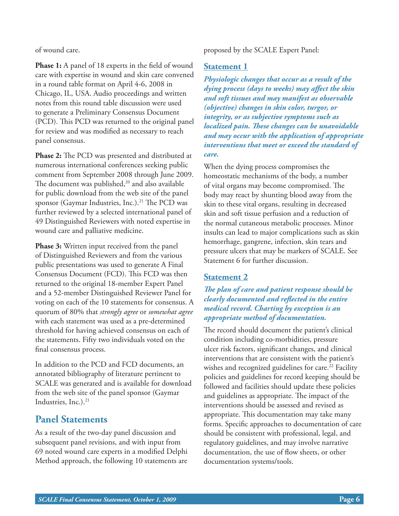of wound care.

**Phase 1:** A panel of 18 experts in the field of wound care with expertise in wound and skin care convened in a round table format on April 4-6, 2008 in Chicago, IL, USA. Audio proceedings and written notes from this round table discussion were used to generate a Preliminary Consensus Document (PCD). This PCD was returned to the original panel for review and was modified as necessary to reach panel consensus.

**Phase 2:** The PCD was presented and distributed at numerous international conferences seeking public comment from September 2008 through June 2009. The document was published, $20$  and also available for public download from the web site of the panel sponsor (Gaymar Industries, Inc.).<sup>21</sup> The PCD was further reviewed by a selected international panel of 49 Distinguished Reviewers with noted expertise in wound care and palliative medicine.

**Phase 3:** Written input received from the panel of Distinguished Reviewers and from the various public presentations was used to generate A Final Consensus Document (FCD). This FCD was then returned to the original 18-member Expert Panel and a 52-member Distinguished Reviewer Panel for voting on each of the 10 statements for consensus. A quorum of 80% that *strongly agree* or *somewhat agree*  with each statement was used as a pre-determined threshold for having achieved consensus on each of the statements. Fifty two individuals voted on the final consensus process.

In addition to the PCD and FCD documents, an annotated bibliography of literature pertinent to SCALE was generated and is available for download from the web site of the panel sponsor (Gaymar Industries, Inc.).<sup>21</sup>

## **Panel Statements**

As a result of the two-day panel discussion and subsequent panel revisions, and with input from 69 noted wound care experts in a modified Delphi Method approach, the following 10 statements are proposed by the SCALE Expert Panel:

### **Statement 1**

*Physiologic changes that occur as a result of the dying process (days to weeks) may affect the skin and soft tissues and may manifest as observable (objective) changes in skin color, turgor, or integrity, or as subjective symptoms such as localized pain. These changes can be unavoidable and may occur with the application of appropriate interventions that meet or exceed the standard of care.*

When the dying process compromises the homeostatic mechanisms of the body, a number of vital organs may become compromised. The body may react by shunting blood away from the skin to these vital organs, resulting in decreased skin and soft tissue perfusion and a reduction of the normal cutaneous metabolic processes. Minor insults can lead to major complications such as skin hemorrhage, gangrene, infection, skin tears and pressure ulcers that may be markers of SCALE. See Statement 6 for further discussion.

## **Statement 2**

### *The plan of care and patient response should be clearly documented and reflected in the entire medical record. Charting by exception is an appropriate method of documentation.*

The record should document the patient's clinical condition including co-morbidities, pressure ulcer risk factors, significant changes, and clinical interventions that are consistent with the patient's wishes and recognized guidelines for care.<sup>22</sup> Facility policies and guidelines for record keeping should be followed and facilities should update these policies and guidelines as appropriate. The impact of the interventions should be assessed and revised as appropriate. This documentation may take many forms. Specific approaches to documentation of care should be consistent with professional, legal, and regulatory guidelines, and may involve narrative documentation, the use of flow sheets, or other documentation systems/tools.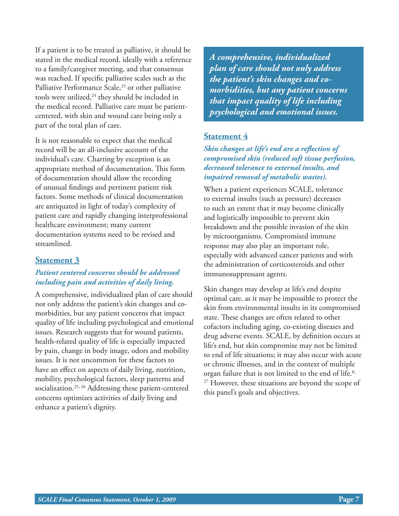If a patient is to be treated as palliative, it should be stated in the medical record, ideally with a reference to a family/caregiver meeting, and that consensus was reached. If specific palliative scales such as the Palliative Performance Scale,<sup>23</sup> or other palliative tools were utilized, $24$  they should be included in the medical record. Palliative care must be patientcentered, with skin and wound care being only a part of the total plan of care.

It is not reasonable to expect that the medical record will be an all-inclusive account of the individual's care. Charting by exception is an appropriate method of documentation. This form of documentation should allow the recording of unusual findings and pertinent patient risk factors. Some methods of clinical documentation are antiquated in light of today's complexity of patient care and rapidly changing interprofessional healthcare environment; many current documentation systems need to be revised and streamlined.

### **Statement 3**

### *Patient centered concerns should be addressed including pain and activities of daily living.*

A comprehensive, individualized plan of care should not only address the patient's skin changes and comorbidities, but any patient concerns that impact quality of life including psychological and emotional issues. Research suggests that for wound patients, health-related quality of life is especially impacted by pain, change in body image, odors and mobility issues. It is not uncommon for these factors to have an effect on aspects of daily living, nutrition, mobility, psychological factors, sleep patterns and socialization.<sup>25, 26</sup> Addressing these patient-centered concerns optimizes activities of daily living and enhance a patient's dignity.

*A comprehensive, individualized plan of care should not only address the patient's skin changes and comorbidities, but any patient concerns that impact quality of life including psychological and emotional issues.* 

### **Statement 4**

*Skin changes at life's end are a reflection of compromised skin (reduced soft tissue perfusion, decreased tolerance to external insults, and impaired removal of metabolic wastes).*

When a patient experiences SCALE, tolerance to external insults (such as pressure) decreases to such an extent that it may become clinically and logistically impossible to prevent skin breakdown and the possible invasion of the skin by microorganisms. Compromised immune response may also play an important role, especially with advanced cancer patients and with the administration of corticosteroids and other immunosuppressant agents.

Skin changes may develop at life's end despite optimal care, as it may be impossible to protect the skin from environmental insults in its compromised state. These changes are often related to other cofactors including aging, co-existing diseases and drug adverse events. SCALE, by definition occurs at life's end, but skin compromise may not be limited to end of life situations; it may also occur with acute or chronic illnesses, and in the context of multiple organ failure that is not limited to the end of life.<sup>8,</sup> <sup>27</sup> However, these situations are beyond the scope of this panel's goals and objectives.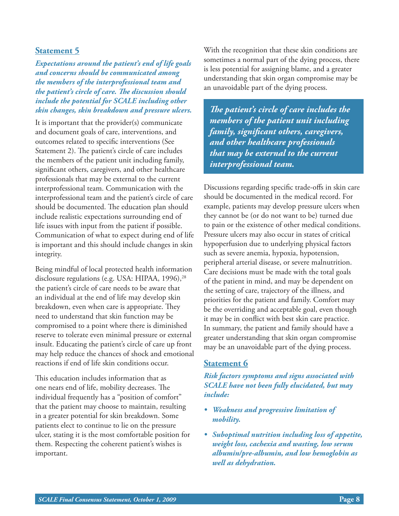### **Statement 5**

*Expectations around the patient's end of life goals and concerns should be communicated among the members of the interprofessional team and the patient's circle of care. The discussion should include the potential for SCALE including other skin changes, skin breakdown and pressure ulcers.*

It is important that the provider(s) communicate and document goals of care, interventions, and outcomes related to specific interventions (See Statement 2). The patient's circle of care includes the members of the patient unit including family, significant others, caregivers, and other healthcare professionals that may be external to the current interprofessional team. Communication with the interprofessional team and the patient's circle of care should be documented. The education plan should include realistic expectations surrounding end of life issues with input from the patient if possible. Communication of what to expect during end of life is important and this should include changes in skin integrity.

Being mindful of local protected health information disclosure regulations (e.g. USA: HIPAA, 1996),<sup>28</sup> the patient's circle of care needs to be aware that an individual at the end of life may develop skin breakdown, even when care is appropriate. They need to understand that skin function may be compromised to a point where there is diminished reserve to tolerate even minimal pressure or external insult. Educating the patient's circle of care up front may help reduce the chances of shock and emotional reactions if end of life skin conditions occur.

This education includes information that as one nears end of life, mobility decreases. The individual frequently has a "position of comfort" that the patient may choose to maintain, resulting in a greater potential for skin breakdown. Some patients elect to continue to lie on the pressure ulcer, stating it is the most comfortable position for them. Respecting the coherent patient's wishes is important.

With the recognition that these skin conditions are sometimes a normal part of the dying process, there is less potential for assigning blame, and a greater understanding that skin organ compromise may be an unavoidable part of the dying process.

*The patient's circle of care includes the members of the patient unit including family, significant others, caregivers, and other healthcare professionals that may be external to the current interprofessional team.* 

Discussions regarding specific trade-offs in skin care should be documented in the medical record. For example, patients may develop pressure ulcers when they cannot be (or do not want to be) turned due to pain or the existence of other medical conditions. Pressure ulcers may also occur in states of critical hypoperfusion due to underlying physical factors such as severe anemia, hypoxia, hypotension, peripheral arterial disease, or severe malnutrition. Care decisions must be made with the total goals of the patient in mind, and may be dependent on the setting of care, trajectory of the illness, and priorities for the patient and family. Comfort may be the overriding and acceptable goal, even though it may be in conflict with best skin care practice. In summary, the patient and family should have a greater understanding that skin organ compromise may be an unavoidable part of the dying process.

### **Statement 6**

*Risk factors symptoms and signs associated with SCALE have not been fully elucidated, but may include:*

- *• Weakness and progressive limitation of mobility.*
- *• Suboptimal nutrition including loss of appetite, weight loss, cachexia and wasting, low serum albumin/pre-albumin, and low hemoglobin as well as dehydration.*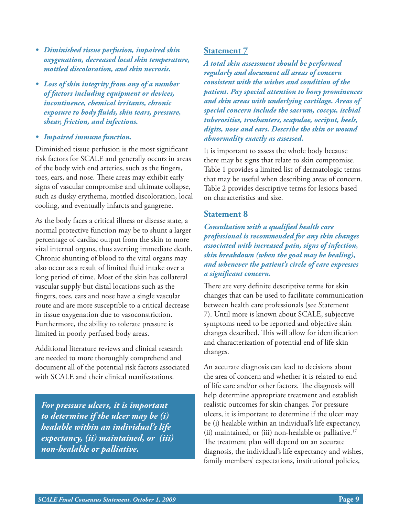- *• Diminished tissue perfusion, impaired skin oxygenation, decreased local skin temperature, mottled discoloration, and skin necrosis.*
- *• Loss of skin integrity from any of a number of factors including equipment or devices, incontinence, chemical irritants, chronic exposure to body fluids, skin tears, pressure, shear, friction, and infections.*
- *• Impaired immune function.*

Diminished tissue perfusion is the most significant risk factors for SCALE and generally occurs in areas of the body with end arteries, such as the fingers, toes, ears, and nose. These areas may exhibit early signs of vascular compromise and ultimate collapse, such as dusky erythema, mottled discoloration, local cooling, and eventually infarcts and gangrene.

As the body faces a critical illness or disease state, a normal protective function may be to shunt a larger percentage of cardiac output from the skin to more vital internal organs, thus averting immediate death. Chronic shunting of blood to the vital organs may also occur as a result of limited fluid intake over a long period of time. Most of the skin has collateral vascular supply but distal locations such as the fingers, toes, ears and nose have a single vascular route and are more susceptible to a critical decrease in tissue oxygenation due to vasoconstriction. Furthermore, the ability to tolerate pressure is limited in poorly perfused body areas.

Additional literature reviews and clinical research are needed to more thoroughly comprehend and document all of the potential risk factors associated with SCALE and their clinical manifestations.

*For pressure ulcers, it is important to determine if the ulcer may be (i) healable within an individual's life expectancy, (ii) maintained, or (iii) non-healable or palliative.*

### **Statement 7**

*A total skin assessment should be performed regularly and document all areas of concern consistent with the wishes and condition of the patient. Pay special attention to bony prominences and skin areas with underlying cartilage. Areas of special concern include the sacrum, coccyx, ischial tuberosities, trochanters, scapulae, occiput, heels, digits, nose and ears. Describe the skin or wound abnormality exactly as assessed.*

It is important to assess the whole body because there may be signs that relate to skin compromise. Table 1 provides a limited list of dermatologic terms that may be useful when describing areas of concern. Table 2 provides descriptive terms for lesions based on characteristics and size.

### **Statement 8**

*Consultation with a qualified health care professional is recommended for any skin changes associated with increased pain, signs of infection, skin breakdown (when the goal may be healing), and whenever the patient's circle of care expresses a significant concern.*

There are very definite descriptive terms for skin changes that can be used to facilitate communication between health care professionals (see Statement 7). Until more is known about SCALE, subjective symptoms need to be reported and objective skin changes described. This will allow for identification and characterization of potential end of life skin changes.

An accurate diagnosis can lead to decisions about the area of concern and whether it is related to end of life care and/or other factors. The diagnosis will help determine appropriate treatment and establish realistic outcomes for skin changes. For pressure ulcers, it is important to determine if the ulcer may be (i) healable within an individual's life expectancy, (ii) maintained, or (iii) non-healable or palliative. $17$ The treatment plan will depend on an accurate diagnosis, the individual's life expectancy and wishes, family members' expectations, institutional policies,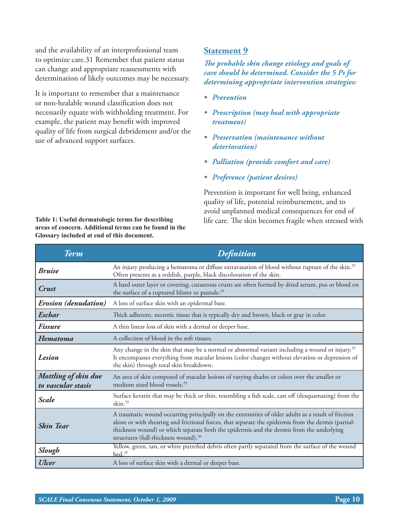and the availability of an interprofessional team to optimize care.31 Remember that patient status can change and appropriate reassessments with determination of likely outcomes may be necessary.

It is important to remember that a maintenance or non-healable wound classification does not necessarily equate with withholding treatment. For example, the patient may benefit with improved quality of life from surgical debridement and/or the use of advanced support surfaces.

### **Statement 9**

*The probable skin change etiology and goals of care should be determined. Consider the 5 Ps for determining appropriate intervention strategies:*

- *• Prevention*
- *• Prescription (may heal with appropriate treatment)*
- *• Preservation (maintenance without deterioration)*
- *• Palliation (provide comfort and care)*
- *• Preference (patient desires)*

Prevention is important for well being, enhanced quality of life, potential reimbursement, and to avoid unplanned medical consequences for end of life care. The skin becomes fragile when stressed with

| <b>Term</b>                                | <b>Definition</b>                                                                                                                                                                                                                                                                                                                                         |
|--------------------------------------------|-----------------------------------------------------------------------------------------------------------------------------------------------------------------------------------------------------------------------------------------------------------------------------------------------------------------------------------------------------------|
| <b>Bruise</b>                              | An injury producing a hematoma or diffuse extravasation of blood without rupture of the skin. <sup>29</sup><br>Often presents as a reddish, purple, black discoloration of the skin.                                                                                                                                                                      |
| Crust                                      | A hard outer layer or covering; cutaneous crusts are often formed by dried serum, pus or blood on<br>the surface of a ruptured blister or pustule. <sup>29</sup>                                                                                                                                                                                          |
| Erosion (denudation)                       | A loss of surface skin with an epidermal base.                                                                                                                                                                                                                                                                                                            |
| <b>Eschar</b>                              | Thick adherent, necrotic tissue that is typically dry and brown, black or gray in color.                                                                                                                                                                                                                                                                  |
| <b>Fissure</b>                             | A thin linear loss of skin with a dermal or deeper base.                                                                                                                                                                                                                                                                                                  |
| <b>Hematoma</b>                            | A collection of blood in the soft tissues.                                                                                                                                                                                                                                                                                                                |
| Lesion                                     | Any change in the skin that may be a normal or abnormal variant including a wound or injury. <sup>29</sup><br>It encompasses everything from macular lesions (color changes without elevation or depression of<br>the skin) through total skin breakdown.                                                                                                 |
| Mottling of skin due<br>to vascular stasis | An area of skin composed of macular lesions of varying shades or colors over the smaller or<br>medium sized blood vessels. <sup>29</sup>                                                                                                                                                                                                                  |
| <b>Scale</b>                               | Surface keratin that may be thick or thin, resembling a fish scale, cast off (desquamating) from the<br>$\sin^{29}$                                                                                                                                                                                                                                       |
| <b>Skin Tear</b>                           | A traumatic wound occurring principally on the extremities of older adults as a result of friction<br>alone or with shearing and frictional forces, that separate the epidermis from the dermis (partial-<br>thickness wound) or which separate both the epidermis and the dermis from the underlying<br>structures (full-thickness wound). <sup>30</sup> |
| Slough                                     | Yellow, green, tan, or white putrefied debris often partly separated from the surface of the wound<br>bed. <sup>29</sup>                                                                                                                                                                                                                                  |
| <b><i>Ulcer</i></b>                        | A loss of surface skin with a dermal or deeper base.                                                                                                                                                                                                                                                                                                      |

**Table 1: Useful dermatologic terms for describing areas of concern. Additional terms can be found in the Glossary included at end of this document.**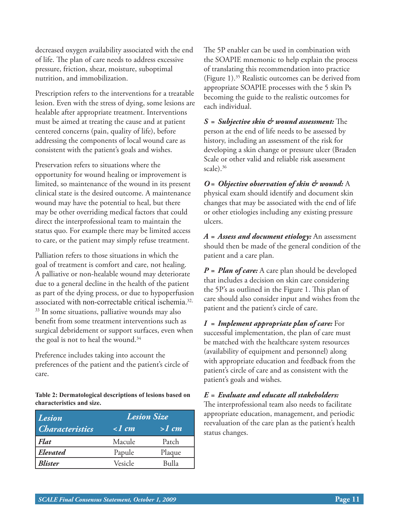decreased oxygen availability associated with the end of life. The plan of care needs to address excessive pressure, friction, shear, moisture, suboptimal nutrition, and immobilization.

Prescription refers to the interventions for a treatable lesion. Even with the stress of dying, some lesions are healable after appropriate treatment. Interventions must be aimed at treating the cause and at patient centered concerns (pain, quality of life), before addressing the components of local wound care as consistent with the patient's goals and wishes.

Preservation refers to situations where the opportunity for wound healing or improvement is limited, so maintenance of the wound in its present clinical state is the desired outcome. A maintenance wound may have the potential to heal, but there may be other overriding medical factors that could direct the interprofessional team to maintain the status quo. For example there may be limited access to care, or the patient may simply refuse treatment.

Palliation refers to those situations in which the goal of treatment is comfort and care, not healing. A palliative or non-healable wound may deteriorate due to a general decline in the health of the patient as part of the dying process, or due to hypoperfusion associated with non-correctable critical ischemia.<sup>32,</sup> <sup>33</sup> In some situations, palliative wounds may also benefit from some treatment interventions such as surgical debridement or support surfaces, even when the goal is not to heal the wound.<sup>34</sup>

Preference includes taking into account the preferences of the patient and the patient's circle of care.

#### **Table 2: Dermatological descriptions of lesions based on characteristics and size.**

| <i>Lesion</i>          | <b>Lesion Size</b> |         |
|------------------------|--------------------|---------|
| <i>Characteristics</i> | $\langle$ 1 cm     | $>1$ cm |
| Flat                   | Macule             | Patch   |
| Elevated               | Papule             | Plaque  |
| <i><b>Blister</b></i>  | Vesicle            | Bulla   |

The 5P enabler can be used in combination with the SOAPIE mnemonic to help explain the process of translating this recommendation into practice (Figure 1).35 Realistic outcomes can be derived from appropriate SOAPIE processes with the 5 skin Ps becoming the guide to the realistic outcomes for each individual.

*S = Subjective skin & wound assessment:* The person at the end of life needs to be assessed by history, including an assessment of the risk for developing a skin change or pressure ulcer (Braden Scale or other valid and reliable risk assessment scale).<sup>36</sup>

*O= Objective observation of skin & wound:* A physical exam should identify and document skin changes that may be associated with the end of life or other etiologies including any existing pressure ulcers.

*A = Assess and document etiology:* An assessment should then be made of the general condition of the patient and a care plan.

*P = Plan of care:* A care plan should be developed that includes a decision on skin care considering the 5P's as outlined in the Figure 1. This plan of care should also consider input and wishes from the patient and the patient's circle of care.

 *I = Implement appropriate plan of care:* For successful implementation, the plan of care must be matched with the healthcare system resources (availability of equipment and personnel) along with appropriate education and feedback from the patient's circle of care and as consistent with the patient's goals and wishes.

### *E = Evaluate and educate all stakeholders:*

The interprofessional team also needs to facilitate appropriate education, management, and periodic reevaluation of the care plan as the patient's health status changes.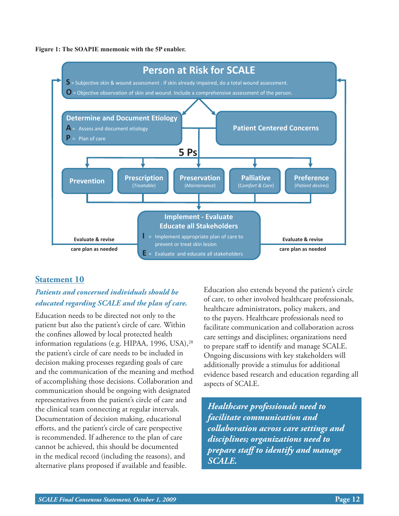**Figure 1: The SOAPIE mnemonic with the 5P enabler.**



### **Statement 10**

## *Patients and concerned individuals should be educated regarding SCALE and the plan of care.*

Education needs to be directed not only to the patient but also the patient's circle of care. Within the confines allowed by local protected health information regulations (e.g. HIPAA, 1996, USA),<sup>28</sup> the patient's circle of care needs to be included in decision making processes regarding goals of care and the communication of the meaning and method of accomplishing those decisions. Collaboration and communication should be ongoing with designated representatives from the patient's circle of care and the clinical team connecting at regular intervals. Documentation of decision making, educational efforts, and the patient's circle of care perspective is recommended. If adherence to the plan of care cannot be achieved, this should be documented in the medical record (including the reasons), and alternative plans proposed if available and feasible.

Education also extends beyond the patient's circle of care, to other involved healthcare professionals, healthcare administrators, policy makers, and to the payers. Healthcare professionals need to facilitate communication and collaboration across care settings and disciplines; organizations need to prepare staff to identify and manage SCALE. Ongoing discussions with key stakeholders will additionally provide a stimulus for additional evidence based research and education regarding all aspects of SCALE.

*Healthcare professionals need to facilitate communication and collaboration across care settings and disciplines; organizations need to prepare staff to identify and manage SCALE.*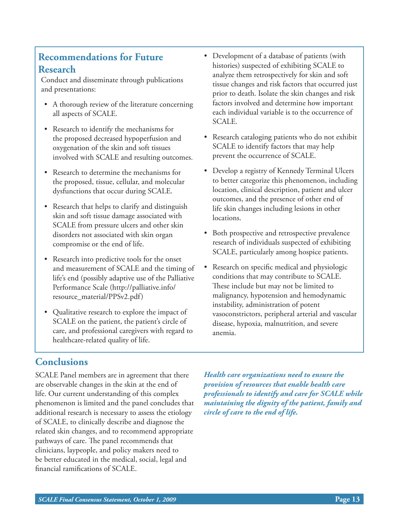## **Recommendations for Future Research**

Conduct and disseminate through publications and presentations:

- A thorough review of the literature concerning all aspects of SCALE.
- • Research to identify the mechanisms for the proposed decreased hypoperfusion and oxygenation of the skin and soft tissues involved with SCALE and resulting outcomes.
- • Research to determine the mechanisms for the proposed, tissue, cellular, and molecular dysfunctions that occur during SCALE.
- Research that helps to clarify and distinguish skin and soft tissue damage associated with SCALE from pressure ulcers and other skin disorders not associated with skin organ compromise or the end of life.
- Research into predictive tools for the onset and measurement of SCALE and the timing of life's end (possibly adaptive use of the Palliative Performance Scale (http://palliative.info/ resource\_material/PPSv2.pdf)
- Qualitative research to explore the impact of SCALE on the patient, the patient's circle of care, and professional caregivers with regard to healthcare-related quality of life.
- Development of a database of patients (with histories) suspected of exhibiting SCALE to analyze them retrospectively for skin and soft tissue changes and risk factors that occurred just prior to death. Isolate the skin changes and risk factors involved and determine how important each individual variable is to the occurrence of SCALE.
- Research cataloging patients who do not exhibit SCALE to identify factors that may help prevent the occurrence of SCALE.
- • Develop a registry of Kennedy Terminal Ulcers to better categorize this phenomenon, including location, clinical description, patient and ulcer outcomes, and the presence of other end of life skin changes including lesions in other locations.
- Both prospective and retrospective prevalence research of individuals suspected of exhibiting SCALE, particularly among hospice patients.
- Research on specific medical and physiologic conditions that may contribute to SCALE. These include but may not be limited to malignancy, hypotension and hemodynamic instability, administration of potent vasoconstrictors, peripheral arterial and vascular disease, hypoxia, malnutrition, and severe anemia.

## **Conclusions**

SCALE Panel members are in agreement that there are observable changes in the skin at the end of life. Our current understanding of this complex phenomenon is limited and the panel concludes that additional research is necessary to assess the etiology of SCALE, to clinically describe and diagnose the related skin changes, and to recommend appropriate pathways of care. The panel recommends that clinicians, laypeople, and policy makers need to be better educated in the medical, social, legal and financial ramifications of SCALE.

*Health care organizations need to ensure the provision of resources that enable health care professionals to identify and care for SCALE while maintaining the dignity of the patient, family and circle of care to the end of life.*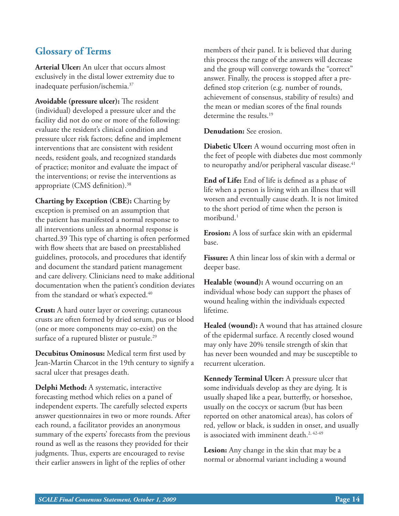## **Glossary of Terms**

**Arterial Ulcer:** An ulcer that occurs almost exclusively in the distal lower extremity due to inadequate perfusion/ischemia.37

**Avoidable (pressure ulcer):** The resident (individual) developed a pressure ulcer and the facility did not do one or more of the following: evaluate the resident's clinical condition and pressure ulcer risk factors; define and implement interventions that are consistent with resident needs, resident goals, and recognized standards of practice; monitor and evaluate the impact of the interventions; or revise the interventions as appropriate (CMS definition).38

**Charting by Exception (CBE):** Charting by exception is premised on an assumption that the patient has manifested a normal response to all interventions unless an abnormal response is charted.39 This type of charting is often performed with flow sheets that are based on preestablished guidelines, protocols, and procedures that identify and document the standard patient management and care delivery. Clinicians need to make additional documentation when the patient's condition deviates from the standard or what's expected.<sup>40</sup>

**Crust:** A hard outer layer or covering; cutaneous crusts are often formed by dried serum, pus or blood (one or more components may co-exist) on the surface of a ruptured blister or pustule.<sup>29</sup>

**Decubitus Ominosus:** Medical term first used by Jean-Martin Charcot in the 19th century to signify a sacral ulcer that presages death.

**Delphi Method:** A systematic, interactive forecasting method which relies on a panel of independent experts. The carefully selected experts answer questionnaires in two or more rounds. After each round, a facilitator provides an anonymous summary of the experts' forecasts from the previous round as well as the reasons they provided for their judgments. Thus, experts are encouraged to revise their earlier answers in light of the replies of other

members of their panel. It is believed that during this process the range of the answers will decrease and the group will converge towards the "correct" answer. Finally, the process is stopped after a predefined stop criterion (e.g. number of rounds, achievement of consensus, stability of results) and the mean or median scores of the final rounds determine the results.<sup>19</sup>

**Denudation:** See erosion.

**Diabetic Ulcer:** A wound occurring most often in the feet of people with diabetes due most commonly to neuropathy and/or peripheral vascular disease.<sup>41</sup>

**End of Life:** End of life is defined as a phase of life when a person is living with an illness that will worsen and eventually cause death. It is not limited to the short period of time when the person is moribund.<sup>1</sup>

**Erosion:** A loss of surface skin with an epidermal base.

**Fissure:** A thin linear loss of skin with a dermal or deeper base.

**Healable (wound):** A wound occurring on an individual whose body can support the phases of wound healing within the individuals expected lifetime.

**Healed (wound):** A wound that has attained closure of the epidermal surface. A recently closed wound may only have 20% tensile strength of skin that has never been wounded and may be susceptible to recurrent ulceration.

**Kennedy Terminal Ulcer:** A pressure ulcer that some individuals develop as they are dying. It is usually shaped like a pear, butterfly, or horseshoe, usually on the coccyx or sacrum (but has been reported on other anatomical areas), has colors of red, yellow or black, is sudden in onset, and usually is associated with imminent death. $2, 42-49$ 

**Lesion:** Any change in the skin that may be a normal or abnormal variant including a wound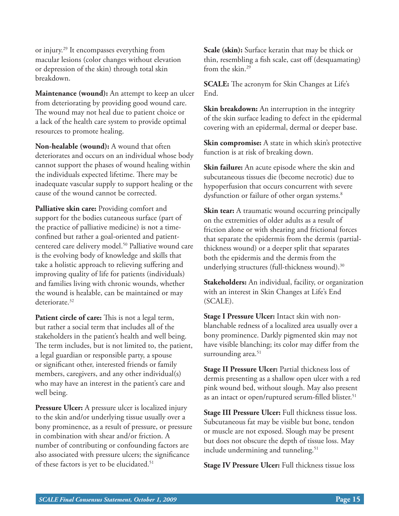or injury.29 It encompasses everything from macular lesions (color changes without elevation or depression of the skin) through total skin breakdown.

**Maintenance (wound):** An attempt to keep an ulcer from deteriorating by providing good wound care. The wound may not heal due to patient choice or a lack of the health care system to provide optimal resources to promote healing.

**Non-healable (wound):** A wound that often deteriorates and occurs on an individual whose body cannot support the phases of wound healing within the individuals expected lifetime. There may be inadequate vascular supply to support healing or the cause of the wound cannot be corrected.

**Palliative skin care:** Providing comfort and support for the bodies cutaneous surface (part of the practice of palliative medicine) is not a timeconfined but rather a goal-oriented and patientcentered care delivery model.<sup>50</sup> Palliative wound care is the evolving body of knowledge and skills that take a holistic approach to relieving suffering and improving quality of life for patients (individuals) and families living with chronic wounds, whether the wound is healable, can be maintained or may deteriorate.<sup>32</sup>

Patient circle of care: This is not a legal term, but rather a social term that includes all of the stakeholders in the patient's health and well being. The term includes, but is not limited to, the patient, a legal guardian or responsible party, a spouse or significant other, interested friends or family members, caregivers, and any other individual(s) who may have an interest in the patient's care and well being.

**Pressure Ulcer:** A pressure ulcer is localized injury to the skin and/or underlying tissue usually over a bony prominence, as a result of pressure, or pressure in combination with shear and/or friction. A number of contributing or confounding factors are also associated with pressure ulcers; the significance of these factors is yet to be elucidated.<sup>51</sup>

**Scale (skin):** Surface keratin that may be thick or thin, resembling a fish scale, cast off (desquamating) from the skin.<sup>29</sup>

**SCALE:** The acronym for Skin Changes at Life's End.

**Skin breakdown:** An interruption in the integrity of the skin surface leading to defect in the epidermal covering with an epidermal, dermal or deeper base.

**Skin compromise:** A state in which skin's protective function is at risk of breaking down.

**Skin failure:** An acute episode where the skin and subcutaneous tissues die (become necrotic) due to hypoperfusion that occurs concurrent with severe dysfunction or failure of other organ systems.<sup>8</sup>

**Skin tear:** A traumatic wound occurring principally on the extremities of older adults as a result of friction alone or with shearing and frictional forces that separate the epidermis from the dermis (partialthickness wound) or a deeper split that separates both the epidermis and the dermis from the underlying structures (full-thickness wound).30

**Stakeholders:** An individual, facility, or organization with an interest in Skin Changes at Life's End (SCALE).

**Stage I Pressure Ulcer:** Intact skin with nonblanchable redness of a localized area usually over a bony prominence. Darkly pigmented skin may not have visible blanching; its color may differ from the surrounding area.<sup>51</sup>

**Stage II Pressure Ulcer:** Partial thickness loss of dermis presenting as a shallow open ulcer with a red pink wound bed, without slough. May also present as an intact or open/ruptured serum-filled blister.<sup>51</sup>

**Stage III Pressure Ulcer:** Full thickness tissue loss. Subcutaneous fat may be visible but bone, tendon or muscle are not exposed. Slough may be present but does not obscure the depth of tissue loss. May include undermining and tunneling.<sup>51</sup>

**Stage IV Pressure Ulcer:** Full thickness tissue loss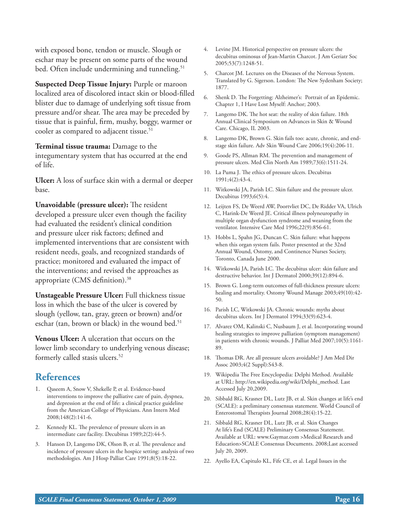with exposed bone, tendon or muscle. Slough or eschar may be present on some parts of the wound bed. Often include undermining and tunneling.<sup>51</sup>

**Suspected Deep Tissue Injury:** Purple or maroon localized area of discolored intact skin or blood-filled blister due to damage of underlying soft tissue from pressure and/or shear. The area may be preceded by tissue that is painful, firm, mushy, boggy, warmer or cooler as compared to adjacent tissue.<sup>51</sup>

**Terminal tissue trauma:** Damage to the integumentary system that has occurred at the end of life.

**Ulcer:** A loss of surface skin with a dermal or deeper base.

**Unavoidable (pressure ulcer):** The resident developed a pressure ulcer even though the facility had evaluated the resident's clinical condition and pressure ulcer risk factors; defined and implemented interventions that are consistent with resident needs, goals, and recognized standards of practice; monitored and evaluated the impact of the interventions; and revised the approaches as appropriate (CMS definition).38

**Unstageable Pressure Ulcer:** Full thickness tissue loss in which the base of the ulcer is covered by slough (yellow, tan, gray, green or brown) and/or eschar (tan, brown or black) in the wound bed. $51$ 

**Venous Ulcer:** A ulceration that occurs on the lower limb secondary to underlying venous disease; formerly called stasis ulcers.<sup>52</sup>

## **References**

- 1. Qaseem A, Snow V, Shekelle P, et al. Evidence-based interventions to improve the palliative care of pain, dyspnea, and depression at the end of life: a clinical practice guideline from the American College of Physicians. Ann Intern Med 2008;148(2):141-6.
- 2. Kennedy KL. The prevalence of pressure ulcers in an intermediate care facility. Decubitus 1989;2(2):44-5.
- 3. Hanson D, Langemo DK, Olson B, et al. The prevalence and incidence of pressure ulcers in the hospice setting: analysis of two methodologies. Am J Hosp Palliat Care 1991;8(5):18-22.
- 4. Levine JM. Historical perspective on pressure ulcers: the decubitus ominosus of Jean-Martin Charcot. J Am Geriatr Soc 2005;53(7):1248-51.
- 5. Charcot JM. Lectures on the Diseases of the Nervous System. Translated by G. Sigerson. London: The New Sydenham Society; 1877.
- 6. Shenk D. The Forgetting: Alzheimer's: Portrait of an Epidemic. Chapter 1, I Have Lost Myself: Anchor; 2003.
- 7. Langemo DK. The hot seat: the reality of skin failure. 18th Annual Clinical Symposium on Advances in Skin & Wound Care. Chicago, IL 2003.
- 8. Langemo DK, Brown G. Skin fails too: acute, chronic, and endstage skin failure. Adv Skin Wound Care 2006;19(4):206-11.
- 9. Goode PS, Allman RM. The prevention and management of pressure ulcers. Med Clin North Am 1989;73(6):1511-24.
- 10. La Puma J. The ethics of pressure ulcers. Decubitus 1991;4(2):43-4.
- 11. Witkowski JA, Parish LC. Skin failure and the pressure ulcer. Decubitus 1993;6(5):4.
- 12. Leijten FS, De Weerd AW, Poortvliet DC, De Ridder VA, Ulrich C, Harink-De Weerd JE. Critical illness polyneuropathy in multiple organ dysfunction syndrome and weaning from the ventilator. Intensive Care Med 1996;22(9):856-61.
- 13. Hobbs L, Spahn JG, Duncan C. Skin failure: what happens when this organ system fails. Poster presented at the 32nd Annual Wound, Ostomy, and Continence Nurses Society, Toronto, Canada June 2000.
- 14. Witkowski JA, Parish LC. The decubitus ulcer: skin failure and destructive behavior. Int J Dermatol 2000;39(12):894-6.
- 15. Brown G. Long-term outcomes of full-thickness pressure ulcers: healing and mortality. Ostomy Wound Manage 2003;49(10):42- 50.
- 16. Parish LC, Witkowski JA. Chronic wounds: myths about decubitus ulcers. Int J Dermatol 1994;33(9):623-4.
- 17. Alvarez OM, Kalinski C, Nusbaum J, et al. Incorporating wound healing strategies to improve palliation (symptom management) in patients with chronic wounds. J Palliat Med 2007;10(5):1161- 89.
- 18. Thomas DR. Are all pressure ulcers avoidable? J Am Med Dir Assoc 2003;4(2 Suppl):S43-8.
- 19. Wikipedia The Free Encyclopedia: Delphi Method. Available at URL: http://en.wikipedia.org/wiki/Delphi\_method. Last Accessed July 20,2009.
- 20. Sibbald RG, Krasner DL, Lutz JB, et al. Skin changes at life's end (SCALE): a preliminary consensus statement. World Council of Enterostomal Therapists Journal 2008;28(4):15-22.
- 21. Sibbald RG, Krasner DL, Lutz JB, et al. Skin Changes At life's End (SCALE) Preliminary Consensus Statement. Available at URL: www.Gaymar.com >Medical Research and Education>SCALE Consensus Documents. 2008;Last accessed July 20, 2009.
- 22. Ayello EA, Capitulo KL, Fife CE, et al. Legal Issues in the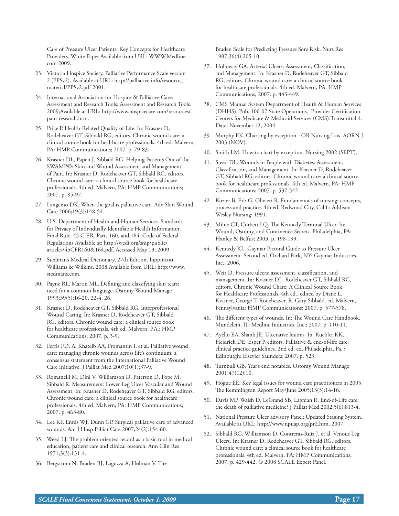Care of Pressure Ulcer Patients: Key Concepts for Healthcare Providers. White Paper Available from URL: WWW.Medline. com 2009.

- 23. Victoria Hospice Society, Palliative Performance Scale version 2 (PPSv2). Available at URL: http://palliative.info/resource\_ material/PPSv2.pdf 2001.
- 24. International Association for Hospice & Palliative Care: Assessment and Research Tools: Assessment and Research Tools. 2009;Available at URL: http://www.hospicecare.com/resources/ pain-research.htm.
- 25. Price P. Health-Related Quality of Life. In: Krasner D, Rodeheaver GT, Sibbald RG, editors. Chronic wound care: a clinical source book for healthcare professionals. 4th ed. Malvern, PA: HMP Communications; 2007. p. 79-83.
- 26. Krasner DL, Papen J, Sibbald RG. Helping Patients Out of the SWAMP©: Skin and Wound Assessment and Management of Pain. In: Krasner D, Rodeheaver GT, Sibbald RG, editors. Chronic wound care: a clinical source book for healthcare professionals. 4th ed. Malvern, PA: HMP Communications; 2007. p. 85-97.
- 27. Langemo DK. When the goal is palliative care. Adv Skin Wound Care 2006;19(3):148-54.
- 28. U.S. Department of Health and Human Services. Standards for Privacy of Individually Identifiable Health Information; Final Rule, 45 C.F.R. Parts 160, and 164. Code of Federal Regulations Available at: http://wedi.org/snip/public/ articles/45CFR160&164.pdf. Accessed May 13, 2009.
- 29. Stedman's Medical Dictionary, 27th Edition. Lippincott Williams & Wilkins. 2008 Available from URL: http://www. stedmans.com.
- 30. Payne RL, Martin ML. Defining and classifying skin tears: need for a common language. Ostomy Wound Manage 1993;39(5):16-20, 22-4, 26.
- 31. Krasner D, Rodeheaver GT, Sibbald RG. Interprofessional Wound Caring. In: Krasner D, Rodeheaver GT, Sibbald RG, editors. Chronic wound care: a clinical source book for healthcare professionals. 4th ed. Malvern, P.A.: HMP Communications; 2007. p. 3-9.
- 32. Ferris FD, Al Khateib AA, Fromantin I, et al. Palliative wound care: managing chronic wounds across life's continuum: a consensus statement from the International Palliative Wound Care Initiative. J Palliat Med 2007;10(1):37-9.
- 33. Romanelli M, Dini V, Williamson D, Paterson D, Pope M, Sibbald R. Measurement: Lower Leg Ulcer Vascular and Wound Assessment. In: Krasner D, Rodeheaver GT, Sibbald RG, editors. Chronic wound care: a clinical source book for healthcare professionals. 4th ed. Malvern, PA: HMP Communications; 2007. p. 463-80.
- 34. Lee KF, Ennis WJ, Dunn GP. Surgical palliative care of advanced wounds. Am J Hosp Palliat Care 2007;24(2):154-60.
- 35. Weed LJ. The problem oriented record as a basic tool in medical education, patient care and clinical research. Ann Clin Res 1971;3(3):131-4.
- 36. Bergstrom N, Braden BJ, Laguzza A, Holman V. The

Braden Scale for Predicting Pressure Sore Risk. Nurs Res 1987;36(4):205-10.

- 37. Holloway GA. Arterial Ulcers: Assessment, Classification, and Management. In: Krasner D, Rodeheaver GT, Sibbald RG, editors. Chronic wound care: a clinical source book for healthcare professionals. 4th ed. Malvern, PA: HMP Communications; 2007. p. 443-449.
- 38. CMS Manual System Department of Health & Human Services (DHHS). Pub. 100-07 State Operations. Provider Certification. Centers for Medicare & Medicaid Services (CMS).Transmittal 4. Date: November 12, 2004.
- 39. Murphy EK. Charting by exception OR Nursing Law. AORN J 2003 (NOV).
- 40. Smith LM. How to chart by exception. Nursing 2002 (SEPT).
- 41. Steed DL. Wounds in People with Diabetes: Assessment, Classification, and Management. In: Krasner D, Rodeheaver GT, Sibbald RG, editors. Chronic wound care: a clinical source book for healthcare professionals. 4th ed. Malvern, PA: HMP Communications; 2007. p. 537-542.
- 42. Kozier B, Erb G, Olivieri R. Fundamentals of nursing: concepts, process and practice. 4th ed. Redwood City, Calif.: Addison-Wesley Nursing; 1991.
- 43. Milne CT, Corbett LQ. The Kennedy Terminal Ulcer. In: Wound, Ostomy, and Continence Secrets. Philadelphia, PA: Hanley & Belfus; 2003. p. 198-199.
- 44. Kennedy KL. Gaymar Pictoral Guide to Pressure Ulcer Assessment. Second ed. Orchard Park, NY: Gaymar Industries, Inc.; 2006.
- 45. Weir D. Pressure ulcers: assessment, classification, and management. In: Krasner DL, Rodeheaver GT, Sibbald RG, editors. Chronic Wound Chare: A Clinical Source Book for Healthcare Professionals. 4th ed., edited by Diane L. Krasner, George T. Rodeheaver, R. Gary Sibbald. ed. Malvern, Pennsylvania: HMP Communications; 2007. p. 577-578.
- 46. The different types of wounds. In: The Wound Care Handbook. Mundelein, IL: Medline Industries, Inc.; 2007. p. 110-11.
- 47. Ayello EA, Shank JE. Ulcerative lesions. In: Kuebler KK, Heidrich DE, Esper P, editors. Palliative & end-of-life care: clinical practice guidelines. 2nd ed. ed. Philadelphia, Pa. ; Edinburgh: Elsevier Saunders; 2007. p. 523.
- 48. Turnbull GB. Year's end notables. Ostomy Wound Manage 2001;47(12):10.
- 49. Hogue EE. Key legal issues for wound care practitioners in 2005. The Remmington Report May/June 2005;13(3):14-16.
- 50. Davis MP, Walsh D, LeGrand SB, Lagman R. End-of-Life care: the death of palliative medicine? J Palliat Med 2002;5(6):813-4.
- 51. National Pressure Ulcer advisory Panel: Updated Staging System. Available at URL: http://www.npuap.org/pr2.htm. 2007.
- 52. Sibbald RG, Williamson D, Contreras-Ruiz J, et al. Venous Leg Ulcers. In: Krasner D, Rodeheaver GT, Sibbald RG, editors. Chronic wound care: a clinical source book for healthcare professionals. 4th ed. Malvern, PA: HMP Communications; 2007. p. 429-442. © 2008 SCALE Expert Panel.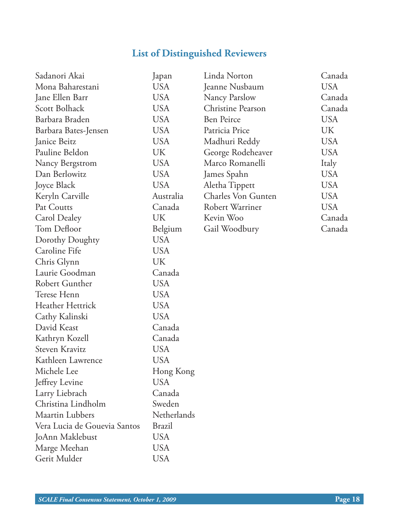## **List of Distinguished Reviewers**

Sadanori Akai Mapan Mona Baharestani USA Jane Ellen Barr USA Scott Bolhack USA Barbara Braden USA Barbara Bates-Jensen USA Janice Beitz USA Pauline Beldon UK Nancy Bergstrom USA Dan Berlowitz USA Joyce Black USA Keryln Carville Australia Pat Coutts Canada Carol Dealey UK Tom Defloor Belgium Dorothy Doughty USA Caroline Fife USA Chris Glynn UK Laurie Goodman Canada Robert Gunther USA Terese Henn USA Heather Hettrick USA Cathy Kalinski USA David Keast Canada Kathryn Kozell Canada Steven Kravitz **USA** Kathleen Lawrence USA Michele Lee Hong Kong Jeffrey Levine USA Larry Liebrach Canada Christina Lindholm Sweden Maartin Lubbers Netherlands Vera Lucia de Gouevia Santos Brazil JoAnn Maklebust USA Marge Meehan USA Gerit Mulder USA

| Linda Norton              | Canada     |
|---------------------------|------------|
| Jeanne Nusbaum            | <b>USA</b> |
| <b>Nancy Parslow</b>      | Canada     |
| <b>Christine Pearson</b>  | Canada     |
| <b>Ben Peirce</b>         | <b>USA</b> |
| Patricia Price            | UK         |
| Madhuri Reddy             | <b>USA</b> |
| George Rodeheaver         | <b>USA</b> |
| Marco Romanelli           | Italy      |
| James Spahn               | <b>USA</b> |
| Aletha Tippett            | <b>USA</b> |
| <b>Charles Von Gunten</b> | <b>USA</b> |
| Robert Warriner           | <b>USA</b> |
| Kevin Woo                 | Canada     |
| Gail Woodbury             | Canada     |
|                           |            |